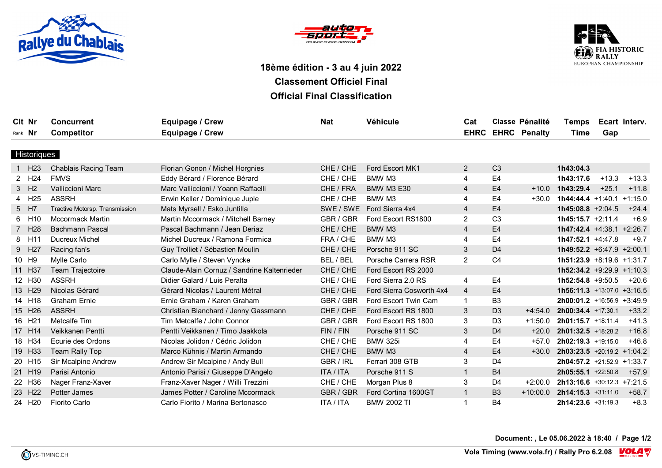





## **18ème édition - 3 au 4 juin 2022 Classement Officiel Final Official Final Classification**

| Cit Nr  |                    | <b>Concurrent</b>              | Equipage / Crew                             | <b>Nat</b>       | Véhicule                 | Cat            |                | <b>Classe Pénalité</b>   | Temps                         |         | Ecart Interv. |
|---------|--------------------|--------------------------------|---------------------------------------------|------------------|--------------------------|----------------|----------------|--------------------------|-------------------------------|---------|---------------|
| Rank Nr |                    | <b>Competitor</b>              | Equipage / Crew                             |                  |                          |                |                | <b>EHRC EHRC Penalty</b> | Time                          | Gap     |               |
|         |                    |                                |                                             |                  |                          |                |                |                          |                               |         |               |
|         | Historiques        |                                |                                             |                  |                          |                |                |                          |                               |         |               |
|         | H <sub>23</sub>    | <b>Chablais Racing Team</b>    | Florian Gonon / Michel Horgnies             | CHE / CHE        | Ford Escort MK1          | 2              | C <sub>3</sub> |                          | 1h43:04.3                     |         |               |
|         | 2 H <sub>24</sub>  | <b>FMVS</b>                    | Eddy Bérard / Florence Bérard               | CHE / CHE        | BMW M3                   | 4              | E <sub>4</sub> |                          | 1h43:17.6                     | $+13.3$ | $+13.3$       |
|         | 3 H <sub>2</sub>   | <b>Valliccioni Marc</b>        | Marc Valliccioni / Yoann Raffaelli          | CHE / FRA        | <b>BMW M3 E30</b>        | $\overline{4}$ | E <sub>4</sub> | $+10.0$                  | 1h43:29.4                     | $+25.1$ | $+11.8$       |
| 4       | H <sub>25</sub>    | <b>ASSRH</b>                   | Erwin Keller / Dominique Juple              | CHE / CHE        | BMW M3                   | 4              | E <sub>4</sub> | $+30.0$                  | $1h44:44.4 + 1:40.1 + 1:15.0$ |         |               |
|         | 5 H7               | Tractive Motorsp. Transmission | Mats Myrsell / Esko Juntilla                | SWE / SWE        | Ford Sierra 4x4          | $\overline{4}$ | E <sub>4</sub> |                          | $1h45:08.8 +2:04.5$           |         | $+24.4$       |
|         | 6 H10              | <b>Mccormack Martin</b>        | Martin Mccormack / Mitchell Barney          | GBR / GBR        | Ford Escort RS1800       | $\overline{2}$ | C <sub>3</sub> |                          | $1h45:15.7 +2:11.4$           |         | $+6.9$        |
|         | 7 H <sub>28</sub>  | <b>Bachmann Pascal</b>         | Pascal Bachmann / Jean Deriaz               | CHE / CHE        | BMW M3                   | $\overline{4}$ | E4             |                          | $1h47:42.4$ +4:38.1 +2:26.7   |         |               |
|         | 8 H11              | Ducreux Michel                 | Michel Ducreux / Ramona Formica             | FRA / CHE        | BMW M3                   | 4              | E <sub>4</sub> |                          | $1h47:52.1 +4:47.8$           |         | $+9.7$        |
|         | 9 H27              | Racing fan's                   | Guy Trolliet / Sébastien Moulin             | CHE / CHE        | Porsche 911 SC           | 3              | D <sub>4</sub> |                          | 1h49:52.2 +6:47.9 +2:00.1     |         |               |
|         | 10 H9              | Mylle Carlo                    | Carlo Mylle / Steven Vyncke                 | BEL / BEL        | Porsche Carrera RSR      | $\overline{2}$ | C <sub>4</sub> |                          | $1h51:23.9 +8:19.6 +1:31.7$   |         |               |
|         | 11 H37             | Team Trajectoire               | Claude-Alain Cornuz / Sandrine Kaltenrieder | CHE / CHE        | Ford Escort RS 2000      |                |                |                          | $1h52:34.2 +9:29.9 +1:10.3$   |         |               |
|         | 12 H30             | <b>ASSRH</b>                   | Didier Galard / Luis Peralta                | CHE / CHE        | Ford Sierra 2.0 RS       | 4              | E <sub>4</sub> |                          | $1h52:54.8 +9:50.5$           |         | +20.6         |
|         | 13 H29             | Nicolas Gérard                 | Gérard Nicolas / Laurent Métral             | CHE / CHE        | Ford Sierra Cosworth 4x4 | $\overline{4}$ | E <sub>4</sub> |                          | $1h56:11.3$ +13:07.0 +3:16.5  |         |               |
|         | 14 H18             | Graham Ernie                   | Ernie Graham / Karen Graham                 | GBR / GBR        | Ford Escort Twin Cam     | $\mathbf{1}$   | B <sub>3</sub> |                          | 2h00:01.2 +16:56.9 +3:49.9    |         |               |
|         | 15 H26             | <b>ASSRH</b>                   | Christian Blanchard / Jenny Gassmann        | CHE / CHE        | Ford Escort RS 1800      | 3              | D <sub>3</sub> | $+4:54.0$                | 2h00:34.4 +17:30.1            |         | $+33.2$       |
|         | 16 H21             | Metcalfe Tim                   | Tim Metcalfe / John Connor                  | GBR / GBR        | Ford Escort RS 1800      | 3              | D <sub>3</sub> | $+1:50.0$                | 2h01:15.7 +18:11.4            |         | $+41.3$       |
|         | 17 H14             | Veikkanen Pentti               | Pentti Veikkanen / Timo Jaakkola            | FIN / FIN        | Porsche 911 SC           | 3              | D <sub>4</sub> | $+20.0$                  | 2h01:32.5 +18:28.2            |         | $+16.8$       |
|         | 18 H34             | Ecurie des Ordons              | Nicolas Jolidon / Cédric Jolidon            | CHE / CHE        | <b>BMW 325i</b>          | 4              | E4             | $+57.0$                  | $2h02:19.3$ +19:15.0          |         | $+46.8$       |
|         | 19 H33             | Team Rally Top                 | Marco Kühnis / Martin Armando               | CHE / CHE        | BMW M3                   | $\overline{4}$ | E <sub>4</sub> | $+30.0$                  | $2h03:23.5$ +20:19.2 +1:04.2  |         |               |
|         | 20 H15             | Sir Mcalpine Andrew            | Andrew Sir Mcalpine / Andy Bull             | GBR / IRL        | Ferrari 308 GTB          | 3              | D <sub>4</sub> |                          | 2h04:57.2 +21:52.9 +1:33.7    |         |               |
|         | 21 H19             | Parisi Antonio                 | Antonio Parisi / Giuseppe D'Angelo          | <b>ITA / ITA</b> | Porsche 911 S            | $\overline{1}$ | <b>B4</b>      |                          | $2h05:55.1$ +22:50.8          |         | $+57.9$       |
|         | 22 H36             | Nager Franz-Xaver              | Franz-Xaver Nager / Willi Trezzini          | CHE / CHE        | Morgan Plus 8            | 3              | D <sub>4</sub> | $+2:00.0$                | $2h13:16.6$ +30:12.3 +7:21.5  |         |               |
|         | 23 H <sub>22</sub> | Potter James                   | James Potter / Caroline Mccormack           | GBR / GBR        | Ford Cortina 1600GT      | $\mathbf{1}$   | <b>B3</b>      | $+10:00.0$               | $2h14:15.3 +31:11.0$          |         | +58.7         |
|         | 24 H20             | <b>Fiorito Carlo</b>           | Carlo Fiorito / Marina Bertonasco           | <b>ITA / ITA</b> | <b>BMW 2002 TI</b>       | $\overline{1}$ | <b>B4</b>      |                          | 2h14:23.6 +31:19.3            |         | $+8.3$        |

**Document: , Le 05.06.2022 à 18:40 / Page 1/2**